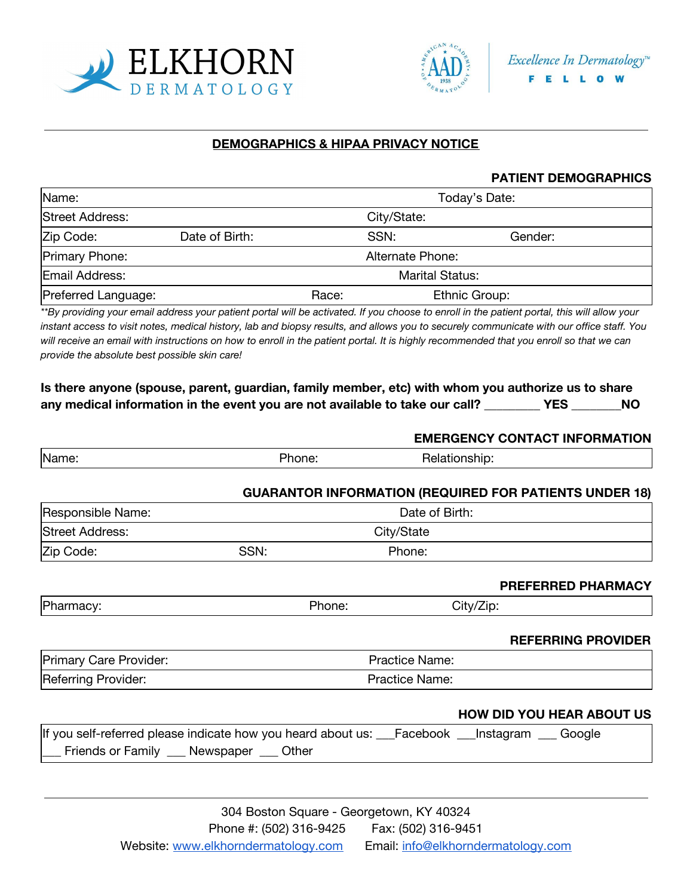



## **DEMOGRAPHICS & HIPAA PRIVACY NOTICE**

#### **PATIENT DEMOGRAPHICS**

| Name:                 | Today's Date:          |       |                 |  |  |
|-----------------------|------------------------|-------|-----------------|--|--|
| Street Address:       |                        |       | City/State:     |  |  |
| Zip Code:             | Date of Birth:         |       | SSN:<br>Gender: |  |  |
| <b>Primary Phone:</b> | Alternate Phone:       |       |                 |  |  |
| Email Address:        | <b>Marital Status:</b> |       |                 |  |  |
| Preferred Language:   |                        | Race: | Ethnic Group:   |  |  |

*\*\*By providing your email address your patient portal will be activated. If you choose to enroll in the patient portal, this will allow your instant access to visit notes, medical history, lab and biopsy results, and allows you to securely communicate with our office staff. You will receive an email with instructions on how to enroll in the patient portal. It is highly recommended that you enroll so that we can provide the absolute best possible skin care!*

| Is there anyone (spouse, parent, guardian, family member, etc) with whom you authorize us to share |     |     |
|----------------------------------------------------------------------------------------------------|-----|-----|
| any medical information in the event you are not available to take our call?                       | YES | NO. |

|                        |                                                                                                                                          |                | <b>EMERGENCY CONTACT INFORMATION</b>                          |
|------------------------|------------------------------------------------------------------------------------------------------------------------------------------|----------------|---------------------------------------------------------------|
| Name:                  | Phone:                                                                                                                                   | Relationship:  |                                                               |
|                        |                                                                                                                                          |                | <b>GUARANTOR INFORMATION (REQUIRED FOR PATIENTS UNDER 18)</b> |
| Responsible Name:      |                                                                                                                                          | Date of Birth: |                                                               |
| Street Address:        |                                                                                                                                          | City/State     |                                                               |
| Zip Code:              | SSN:                                                                                                                                     | Phone:         |                                                               |
|                        |                                                                                                                                          |                | PREFERRED PHARMACY                                            |
| Pharmacy:              | Phone:                                                                                                                                   | City/Zip:      |                                                               |
|                        |                                                                                                                                          |                | <b>REFERRING PROVIDER</b>                                     |
| Primary Care Provider: | <b>Practice Name:</b>                                                                                                                    |                |                                                               |
| Referring Provider:    | Practice Name:                                                                                                                           |                |                                                               |
|                        |                                                                                                                                          |                | <b>HOW DID YOU HEAR ABOUT US</b>                              |
|                        | If you self-referred please indicate how you heard about us: __Facebook __Instagram __ Google<br>Friends or Family __ Newspaper __ Other |                |                                                               |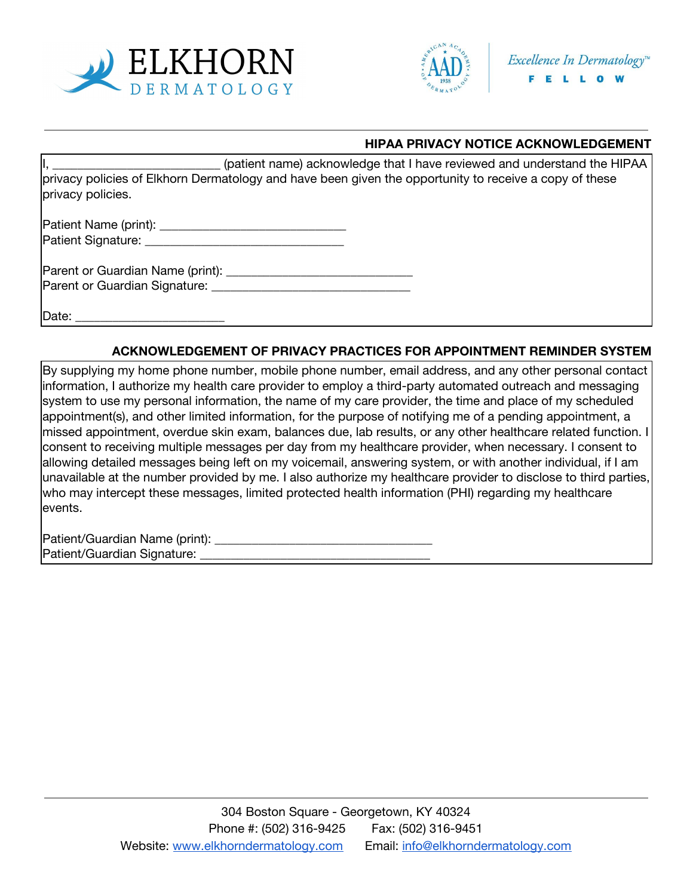



### **HIPAA PRIVACY NOTICE ACKNOWLEDGEMENT**

(patient name) acknowledge that I have reviewed and understand the HIPAA privacy policies of Elkhorn Dermatology and have been given the opportunity to receive a copy of these privacy policies.

Patient Name (print): \_\_\_\_\_\_\_\_\_\_\_\_\_\_\_\_\_\_\_\_\_\_\_\_\_\_\_\_\_\_ Patient Signature: **Example 2018** 

Parent or Guardian Name (print): Parent or Guardian Signature: \_\_\_\_\_\_\_\_\_\_\_\_\_\_\_\_\_\_\_\_\_\_\_\_\_\_\_\_\_\_\_\_

Date:

### **ACKNOWLEDGEMENT OF PRIVACY PRACTICES FOR APPOINTMENT REMINDER SYSTEM**

By supplying my home phone number, mobile phone number, email address, and any other personal contact information, I authorize my health care provider to employ a third-party automated outreach and messaging system to use my personal information, the name of my care provider, the time and place of my scheduled appointment(s), and other limited information, for the purpose of notifying me of a pending appointment, a missed appointment, overdue skin exam, balances due, lab results, or any other healthcare related function. I consent to receiving multiple messages per day from my healthcare provider, when necessary. I consent to allowing detailed messages being left on my voicemail, answering system, or with another individual, if I am unavailable at the number provided by me. I also authorize my healthcare provider to disclose to third parties, who may intercept these messages, limited protected health information (PHI) regarding my healthcare events.

Patient/Guardian Name (print): \_\_\_\_\_\_\_\_\_\_\_\_\_\_\_\_\_\_\_\_\_\_\_\_\_\_\_\_\_\_\_\_\_\_\_ Patient/Guardian Signature: \_\_\_\_\_\_\_\_\_\_\_\_\_\_\_\_\_\_\_\_\_\_\_\_\_\_\_\_\_\_\_\_\_\_\_\_\_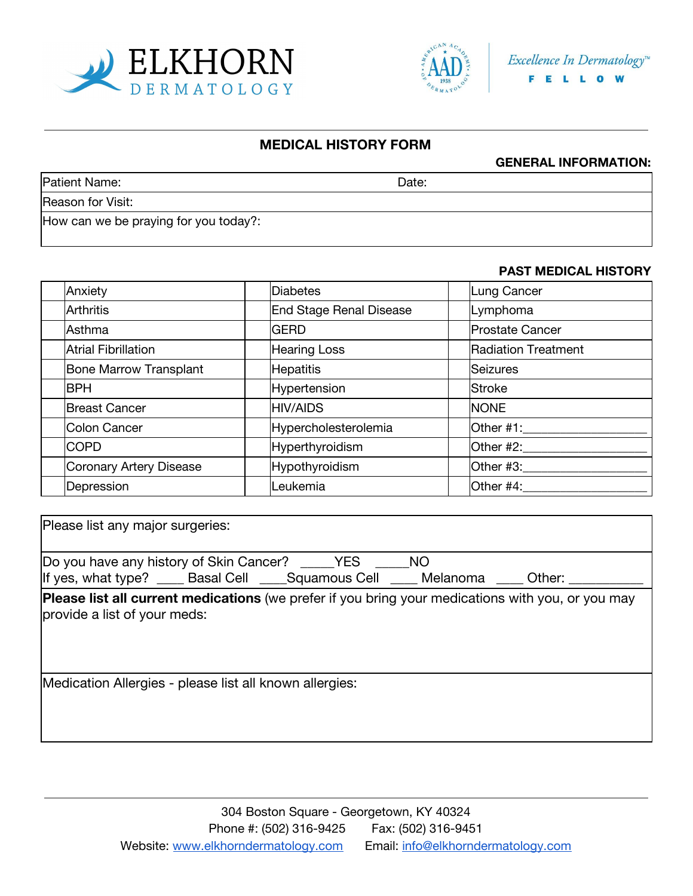



## **MEDICAL HISTORY FORM**

#### **GENERAL INFORMATION:**

| Patient Name:                         | Date: |  |
|---------------------------------------|-------|--|
| Reason for Visit:                     |       |  |
| How can we be praying for you today?: |       |  |

### **PAST MEDICAL HISTORY**

| Anxiety                       | Diabetes                       | Lung Cancer                |
|-------------------------------|--------------------------------|----------------------------|
| <b>Arthritis</b>              | <b>End Stage Renal Disease</b> | Lymphoma                   |
| Asthma                        | <b>GERD</b>                    | <b>Prostate Cancer</b>     |
| <b>Atrial Fibrillation</b>    | <b>Hearing Loss</b>            | <b>Radiation Treatment</b> |
| <b>Bone Marrow Transplant</b> | <b>Hepatitis</b>               | Seizures                   |
| <b>BPH</b>                    | <b>Hypertension</b>            | Stroke                     |
| <b>Breast Cancer</b>          | <b>HIV/AIDS</b>                | <b>NONE</b>                |
| Colon Cancer                  | Hypercholesterolemia           | Other #1:                  |
| <b>COPD</b>                   | Hyperthyroidism                | Other #2:____              |
| Coronary Artery Disease       | Hypothyroidism                 | Other #3:                  |
| Depression                    | Leukemia                       | Other #4:                  |

| Please list any major surgeries:                                                                                                               |
|------------------------------------------------------------------------------------------------------------------------------------------------|
| Do you have any history of Skin Cancer? _____YES<br><b>NO</b><br> If yes, what type? ____ Basal Cell ____Squamous Cell ____ Melanoma<br>Other: |
| <b>Please list all current medications</b> (we prefer if you bring your medications with you, or you may<br>provide a list of your meds:       |
| Medication Allergies - please list all known allergies:                                                                                        |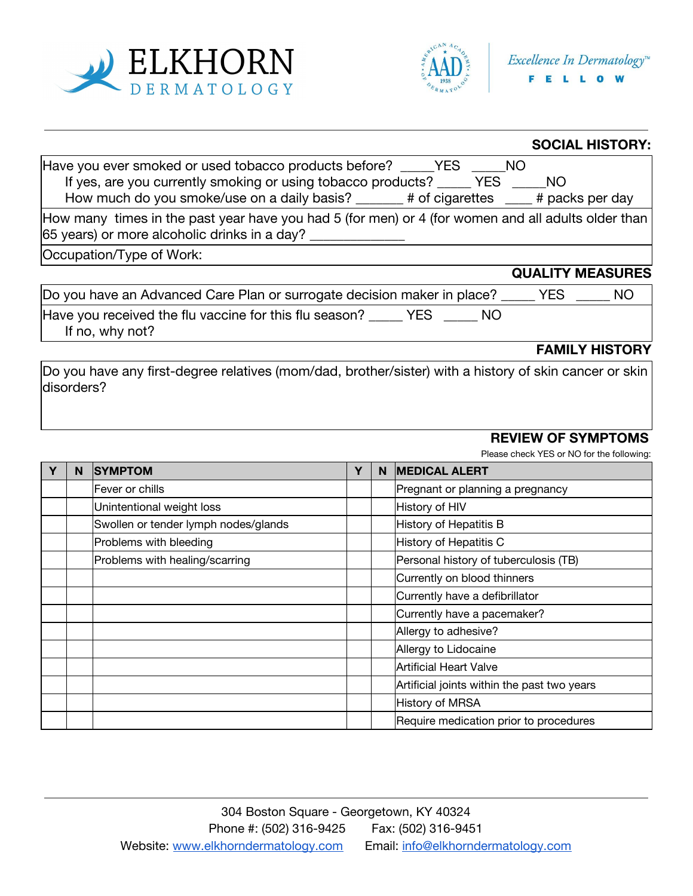



**SOCIAL HISTORY:**

|                                                                                                                                                            | SUUJAL HISTURY:         |
|------------------------------------------------------------------------------------------------------------------------------------------------------------|-------------------------|
| Have you ever smoked or used tobacco products before? ______YES ______NO                                                                                   |                         |
| If yes, are you currently smoking or using tobacco products? ______ YES ______ NO                                                                          |                         |
| How much do you smoke/use on a daily basis? ______# of cigarettes ___# packs per day                                                                       |                         |
| How many times in the past year have you had 5 (for men) or 4 (for women and all adults older than $\vert$<br>65 years) or more alcoholic drinks in a day? |                         |
| Occupation/Type of Work:                                                                                                                                   |                         |
|                                                                                                                                                            | <b>QUALITY MEASURES</b> |
| Do you have an Advanced Care Plan or surrogate decision maker in place? _____ YES ___                                                                      | NO                      |
| Have you received the flu vaccine for this flu season? _____ YES _____ NO<br>If no, why not?                                                               |                         |
|                                                                                                                                                            | <b>FAMILY HISTORY</b>   |

Do you have any first-degree relatives (mom/dad, brother/sister) with a history of skin cancer or skin disorders?

## **REVIEW OF SYMPTOMS**

Please check YES or NO for the following:

| γ | N | <b>SYMPTOM</b>                       | Y | N. | <b>MEDICAL ALERT</b>                        |
|---|---|--------------------------------------|---|----|---------------------------------------------|
|   |   | Fever or chills                      |   |    | Pregnant or planning a pregnancy            |
|   |   | Unintentional weight loss            |   |    | History of HIV                              |
|   |   | Swollen or tender lymph nodes/glands |   |    | History of Hepatitis B                      |
|   |   | Problems with bleeding               |   |    | History of Hepatitis C                      |
|   |   | Problems with healing/scarring       |   |    | Personal history of tuberculosis (TB)       |
|   |   |                                      |   |    | Currently on blood thinners                 |
|   |   |                                      |   |    | Currently have a defibrillator              |
|   |   |                                      |   |    | Currently have a pacemaker?                 |
|   |   |                                      |   |    | Allergy to adhesive?                        |
|   |   |                                      |   |    | Allergy to Lidocaine                        |
|   |   |                                      |   |    | Artificial Heart Valve                      |
|   |   |                                      |   |    | Artificial joints within the past two years |
|   |   |                                      |   |    | History of MRSA                             |
|   |   |                                      |   |    | Require medication prior to procedures      |